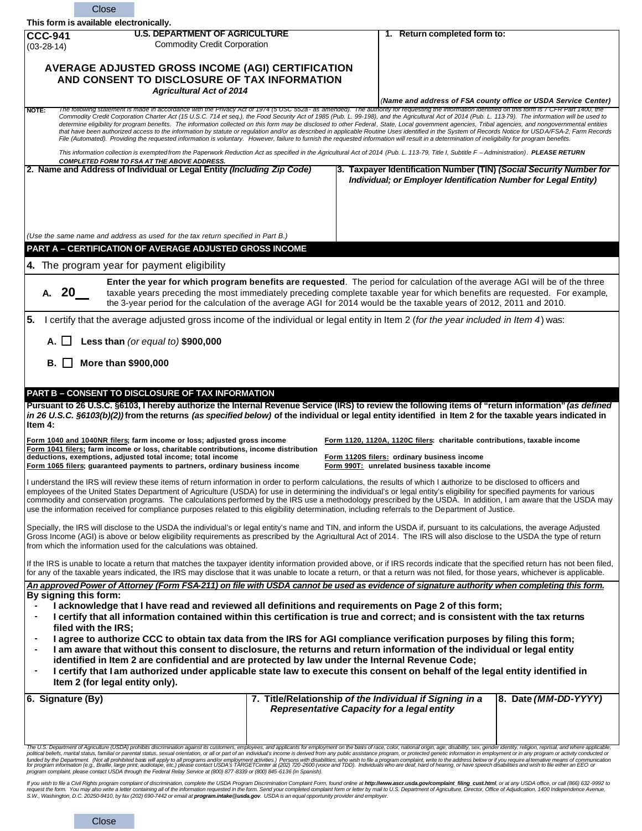| Close                                                                                                                                                                                                                                                                                                                                                                                                                                                                                                                                                                                                                                                                                                                                                                                                                                                                                                                                                                                                                                  |                                                                                                                                     |  |  |                                                                                                                                                                         |                                                                                                                                                                                                                                                                                                                                                                                                                                                                 |  |
|----------------------------------------------------------------------------------------------------------------------------------------------------------------------------------------------------------------------------------------------------------------------------------------------------------------------------------------------------------------------------------------------------------------------------------------------------------------------------------------------------------------------------------------------------------------------------------------------------------------------------------------------------------------------------------------------------------------------------------------------------------------------------------------------------------------------------------------------------------------------------------------------------------------------------------------------------------------------------------------------------------------------------------------|-------------------------------------------------------------------------------------------------------------------------------------|--|--|-------------------------------------------------------------------------------------------------------------------------------------------------------------------------|-----------------------------------------------------------------------------------------------------------------------------------------------------------------------------------------------------------------------------------------------------------------------------------------------------------------------------------------------------------------------------------------------------------------------------------------------------------------|--|
| This form is available electronically.                                                                                                                                                                                                                                                                                                                                                                                                                                                                                                                                                                                                                                                                                                                                                                                                                                                                                                                                                                                                 |                                                                                                                                     |  |  |                                                                                                                                                                         |                                                                                                                                                                                                                                                                                                                                                                                                                                                                 |  |
| <b>CCC-941</b><br>$(03-28-14)$                                                                                                                                                                                                                                                                                                                                                                                                                                                                                                                                                                                                                                                                                                                                                                                                                                                                                                                                                                                                         | <b>U.S. DEPARTMENT OF AGRICULTURE</b><br><b>Commodity Credit Corporation</b>                                                        |  |  | 1. Return completed form to:                                                                                                                                            |                                                                                                                                                                                                                                                                                                                                                                                                                                                                 |  |
| AVERAGE ADJUSTED GROSS INCOME (AGI) CERTIFICATION<br>AND CONSENT TO DISCLOSURE OF TAX INFORMATION                                                                                                                                                                                                                                                                                                                                                                                                                                                                                                                                                                                                                                                                                                                                                                                                                                                                                                                                      |                                                                                                                                     |  |  |                                                                                                                                                                         |                                                                                                                                                                                                                                                                                                                                                                                                                                                                 |  |
|                                                                                                                                                                                                                                                                                                                                                                                                                                                                                                                                                                                                                                                                                                                                                                                                                                                                                                                                                                                                                                        | <b>Agricultural Act of 2014</b>                                                                                                     |  |  |                                                                                                                                                                         | (Name and address of FSA county office or USDA Service Center)                                                                                                                                                                                                                                                                                                                                                                                                  |  |
| The following statement is made in accordance with the Privacy Act of 1974 (5 USC 552a - as amended). The authority for requesting the information identified on this form is 7 CFR Part 1400, the<br>NOTE:<br>Commodity Credit Corporation Charter Act (15 U.S.C. 714 et seq.), the Food Security Act of 1985 (Pub. L. 99-198), and the Agricultural Act of 2014 (Pub. L. 113-79). The information will be used to<br>determine eligibility for program benefits. The information collected on this form may be disclosed to other Federal, State, Local government agencies, Tribal agencies, and nongovernmental entities<br>that have been authorized access to the information by statute or regulation and/or as described in applicable Routine Uses identified in the System of Records Notice for USDA/FSA-2, Farm Records<br>File (Automated). Providing the requested information is voluntary. However, failure to furnish the requested information will result in a determination of ineligibility for program benefits. |                                                                                                                                     |  |  |                                                                                                                                                                         |                                                                                                                                                                                                                                                                                                                                                                                                                                                                 |  |
| This information collection is exempted from the Paperwork Reduction Act as specified in the Agricultural Act of 2014 (Pub. L. 113-79, Title I, Subtitle F-Administration). PLEASE RETURN<br><b>COMPLETED FORM TO FSA AT THE ABOVE ADDRESS.</b>                                                                                                                                                                                                                                                                                                                                                                                                                                                                                                                                                                                                                                                                                                                                                                                        |                                                                                                                                     |  |  |                                                                                                                                                                         |                                                                                                                                                                                                                                                                                                                                                                                                                                                                 |  |
| 2. Name and Address of Individual or Legal Entity (Including Zip Code)<br>(Use the same name and address as used for the tax return specified in Part B.)                                                                                                                                                                                                                                                                                                                                                                                                                                                                                                                                                                                                                                                                                                                                                                                                                                                                              |                                                                                                                                     |  |  | Individual; or Employer Identification Number for Legal Entity)                                                                                                         | 3. Taxpayer Identification Number (TIN) (Social Security Number for                                                                                                                                                                                                                                                                                                                                                                                             |  |
| PART A - CERTIFICATION OF AVERAGE ADJUSTED GROSS INCOME                                                                                                                                                                                                                                                                                                                                                                                                                                                                                                                                                                                                                                                                                                                                                                                                                                                                                                                                                                                |                                                                                                                                     |  |  |                                                                                                                                                                         |                                                                                                                                                                                                                                                                                                                                                                                                                                                                 |  |
| 4. The program year for payment eligibility                                                                                                                                                                                                                                                                                                                                                                                                                                                                                                                                                                                                                                                                                                                                                                                                                                                                                                                                                                                            |                                                                                                                                     |  |  |                                                                                                                                                                         |                                                                                                                                                                                                                                                                                                                                                                                                                                                                 |  |
|                                                                                                                                                                                                                                                                                                                                                                                                                                                                                                                                                                                                                                                                                                                                                                                                                                                                                                                                                                                                                                        |                                                                                                                                     |  |  |                                                                                                                                                                         |                                                                                                                                                                                                                                                                                                                                                                                                                                                                 |  |
| Enter the year for which program benefits are requested. The period for calculation of the average AGI will be of the three<br>A. $20$<br>taxable years preceding the most immediately preceding complete taxable year for which benefits are requested. For example,<br>the 3-year period for the calculation of the average AGI for 2014 would be the taxable years of 2012, 2011 and 2010.                                                                                                                                                                                                                                                                                                                                                                                                                                                                                                                                                                                                                                          |                                                                                                                                     |  |  |                                                                                                                                                                         |                                                                                                                                                                                                                                                                                                                                                                                                                                                                 |  |
| 5.                                                                                                                                                                                                                                                                                                                                                                                                                                                                                                                                                                                                                                                                                                                                                                                                                                                                                                                                                                                                                                     | I certify that the average adjusted gross income of the individual or legal entity in Item 2 (for the year included in Item 4) was: |  |  |                                                                                                                                                                         |                                                                                                                                                                                                                                                                                                                                                                                                                                                                 |  |
| A. I I                                                                                                                                                                                                                                                                                                                                                                                                                                                                                                                                                                                                                                                                                                                                                                                                                                                                                                                                                                                                                                 | Less than (or equal to) \$900,000                                                                                                   |  |  |                                                                                                                                                                         |                                                                                                                                                                                                                                                                                                                                                                                                                                                                 |  |
| More than \$900,000<br>В.                                                                                                                                                                                                                                                                                                                                                                                                                                                                                                                                                                                                                                                                                                                                                                                                                                                                                                                                                                                                              |                                                                                                                                     |  |  |                                                                                                                                                                         |                                                                                                                                                                                                                                                                                                                                                                                                                                                                 |  |
| PART B - CONSENT TO DISCLOSURE OF TAX INFORMATION<br>Pursuant to 26 U.S.C. §6103, I hereby authorize the Internal Revenue Service (IRS) to review the following items of "return information" (as defined<br>in 26 U.S.C. §6103(b)(2)) from the returns (as specified below) of the individual or legal entity identified in Item 2 for the taxable years indicated in<br>Item 4:                                                                                                                                                                                                                                                                                                                                                                                                                                                                                                                                                                                                                                                      |                                                                                                                                     |  |  |                                                                                                                                                                         |                                                                                                                                                                                                                                                                                                                                                                                                                                                                 |  |
| <u>Form 1040 and 1040NR filers</u> ; farm income or loss; adjusted gross income<br>Form 1041 filers; farm income or loss, charitable contributions, income distribution<br>deductions, exemptions, adjusted total income; total income<br>Form 1065 filers; guaranteed payments to partners, ordinary business income                                                                                                                                                                                                                                                                                                                                                                                                                                                                                                                                                                                                                                                                                                                  |                                                                                                                                     |  |  | Form 1120, 1120A, 1120C filers: charitable contributions, taxable income<br>Form 1120S filers: ordinary business income<br>Form 990T: unrelated business taxable income |                                                                                                                                                                                                                                                                                                                                                                                                                                                                 |  |
| I understand the IRS will review these items of return information in order to perform calculations, the results of which I authorize to be disclosed to officers and<br>employees of the United States Department of Agriculture (USDA) for use in determining the individual's or legal entity's eligibility for specified payments for various<br>commodity and conservation programs. The calculations performed by the IRS use a methodology prescribed by the USDA. In addition, I am aware that the USDA may<br>use the information received for compliance purposes related to this eligibility determination, including referrals to the Department of Justice.                                                                                                                                                                                                                                                                                                                                                               |                                                                                                                                     |  |  |                                                                                                                                                                         |                                                                                                                                                                                                                                                                                                                                                                                                                                                                 |  |
| Specially, the IRS will disclose to the USDA the individual's or legal entity's name and TIN, and inform the USDA if, pursuant to its calculations, the average Adjusted<br>Gross Income (AGI) is above or below eligibility requirements as prescribed by the Agricultural Act of 2014. The IRS will also disclose to the USDA the type of return<br>from which the information used for the calculations was obtained.                                                                                                                                                                                                                                                                                                                                                                                                                                                                                                                                                                                                               |                                                                                                                                     |  |  |                                                                                                                                                                         |                                                                                                                                                                                                                                                                                                                                                                                                                                                                 |  |
| If the IRS is unable to locate a return that matches the taxpayer identity information provided above, or if IRS records indicate that the specified return has not been filed,<br>for any of the taxable years indicated, the IRS may disclose that it was unable to locate a return, or that a return was not filed, for those years, whichever is applicable.                                                                                                                                                                                                                                                                                                                                                                                                                                                                                                                                                                                                                                                                       |                                                                                                                                     |  |  |                                                                                                                                                                         |                                                                                                                                                                                                                                                                                                                                                                                                                                                                 |  |
| An approved Power of Attorney (Form FSA-211) on file with USDA cannot be used as evidence of signature authority when completing this form.<br>By signing this form:<br>I acknowledge that I have read and reviewed all definitions and requirements on Page 2 of this form;<br>I certify that all information contained within this certification is true and correct; and is consistent with the tax returns<br>filed with the IRS;<br>I agree to authorize CCC to obtain tax data from the IRS for AGI compliance verification purposes by filing this form;<br>I am aware that without this consent to disclosure, the returns and return information of the individual or legal entity<br>identified in Item 2 are confidential and are protected by law under the Internal Revenue Code;<br>I certify that I am authorized under applicable state law to execute this consent on behalf of the legal entity identified in<br>Item 2 (for legal entity only).                                                                     |                                                                                                                                     |  |  |                                                                                                                                                                         |                                                                                                                                                                                                                                                                                                                                                                                                                                                                 |  |
| 6. Signature (By)                                                                                                                                                                                                                                                                                                                                                                                                                                                                                                                                                                                                                                                                                                                                                                                                                                                                                                                                                                                                                      |                                                                                                                                     |  |  | 7. Title/Relationship of the Individual if Signing in a<br>Representative Capacity for a legal entity                                                                   | 8. Date (MM-DD-YYYY)                                                                                                                                                                                                                                                                                                                                                                                                                                            |  |
|                                                                                                                                                                                                                                                                                                                                                                                                                                                                                                                                                                                                                                                                                                                                                                                                                                                                                                                                                                                                                                        |                                                                                                                                     |  |  |                                                                                                                                                                         | The U.S. Department of Agriculture (USDA) prohibits discrimination against its customers, employees, and applicants for employment on the basis of race, color, national origin, age, disability, sex, gender identity, religi<br>political beliefs, marital status, familial or parental status, sexual orientation, or all or part of an individual's income is derived from any public assistance program, or protected genetic information in employment or |  |
| program complaint, please contact USDA through the Federal Relay Service at (800) 877-8339 or (800) 845-6136 (in Spanish).                                                                                                                                                                                                                                                                                                                                                                                                                                                                                                                                                                                                                                                                                                                                                                                                                                                                                                             |                                                                                                                                     |  |  |                                                                                                                                                                         | funded by the Department. (Not all prohibited bass will apply to all programs and/or employment activities.) Persons with disabilities, who wish to file a program complaint, write to the address below or if you require alt                                                                                                                                                                                                                                  |  |

lf you wish to file a Civil Rights program complaint of discrimination, complete the USDA Program Discrimination Complaint Form, found online at **http://www.ascr.usda.gov/complaint\_filing\_cust.html**, or at any USDA office,